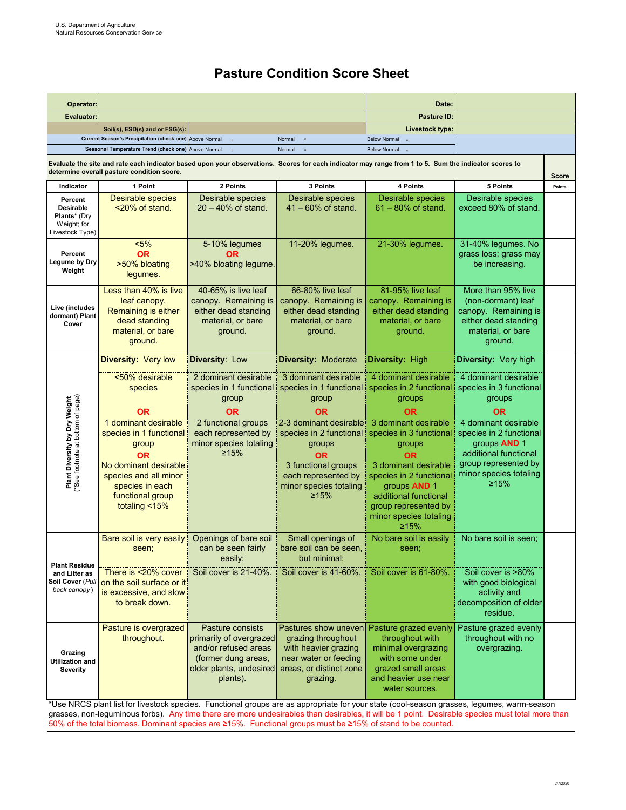## **Pasture Condition Score Sheet**

| Operator:                                                                                                                                                                                                                           |                                                                                                                                                                                       |                                                                                                                                   | Date:                                                                                                                                                           |                                                                                                                                                                                                                                             |                                                                                                                                                                 |              |
|-------------------------------------------------------------------------------------------------------------------------------------------------------------------------------------------------------------------------------------|---------------------------------------------------------------------------------------------------------------------------------------------------------------------------------------|-----------------------------------------------------------------------------------------------------------------------------------|-----------------------------------------------------------------------------------------------------------------------------------------------------------------|---------------------------------------------------------------------------------------------------------------------------------------------------------------------------------------------------------------------------------------------|-----------------------------------------------------------------------------------------------------------------------------------------------------------------|--------------|
| <b>Evaluator:</b>                                                                                                                                                                                                                   |                                                                                                                                                                                       |                                                                                                                                   | Pasture ID:                                                                                                                                                     |                                                                                                                                                                                                                                             |                                                                                                                                                                 |              |
|                                                                                                                                                                                                                                     | Soil(s), ESD(s) and or FSG(s):                                                                                                                                                        |                                                                                                                                   |                                                                                                                                                                 | Livestock type:                                                                                                                                                                                                                             |                                                                                                                                                                 |              |
| Current Season's Precipitation (check one) Above Normal<br>Normal<br><b>Below Normal</b><br>$\alpha$<br>$\circ$<br>Seasonal Temperature Trend (check one) Above Normal<br>$\circ$                                                   |                                                                                                                                                                                       |                                                                                                                                   |                                                                                                                                                                 |                                                                                                                                                                                                                                             |                                                                                                                                                                 |              |
| Normal<br><b>Below Normal</b><br>Evaluate the site and rate each indicator based upon your observations. Scores for each indicator may range from 1 to 5. Sum the indicator scores to<br>determine overall pasture condition score. |                                                                                                                                                                                       |                                                                                                                                   |                                                                                                                                                                 |                                                                                                                                                                                                                                             |                                                                                                                                                                 | <b>Score</b> |
| Indicator                                                                                                                                                                                                                           | 1 Point                                                                                                                                                                               | 2 Points                                                                                                                          | 3 Points                                                                                                                                                        | 4 Points                                                                                                                                                                                                                                    | 5 Points                                                                                                                                                        | Points       |
| Percent<br><b>Desirable</b><br><b>Plants*</b> (Dry<br>Weight; for<br>Livestock Type)                                                                                                                                                | <b>Desirable species</b><br><20% of stand.                                                                                                                                            | Desirable species<br>$20 - 40\%$ of stand.                                                                                        | <b>Desirable species</b><br>$41 - 60\%$ of stand.                                                                                                               | <b>Desirable species</b><br>$61 - 80\%$ of stand.                                                                                                                                                                                           | <b>Desirable species</b><br>exceed 80% of stand.                                                                                                                |              |
| Percent<br>Legume by Dry<br>Weight                                                                                                                                                                                                  | $< 5\%$<br>0R<br>>50% bloating<br>legumes.                                                                                                                                            | 5-10% legumes<br><b>OR</b><br>>40% bloating legume.                                                                               | 11-20% legumes.                                                                                                                                                 | 21-30% legumes.                                                                                                                                                                                                                             | 31-40% legumes. No<br>grass loss; grass may<br>be increasing.                                                                                                   |              |
| Live (includes<br>dormant) Plant<br>Cover                                                                                                                                                                                           | Less than 40% is live<br>leaf canopy.<br>Remaining is either<br>dead standing<br>material, or bare<br>ground.                                                                         | 40-65% is live leaf<br>canopy. Remaining is<br>either dead standing<br>material, or bare<br>ground.                               | 66-80% live leaf<br>canopy. Remaining is<br>either dead standing<br>material, or bare<br>ground.                                                                | 81-95% live leaf<br>canopy. Remaining is<br>either dead standing<br>material, or bare<br>ground.                                                                                                                                            | More than 95% live<br>(non-dormant) leaf<br>canopy. Remaining is<br>either dead standing<br>material, or bare<br>ground.                                        |              |
|                                                                                                                                                                                                                                     | Diversity: Very low                                                                                                                                                                   | <b>Diversity: Low</b>                                                                                                             | <b>Diversity: Moderate</b>                                                                                                                                      | <b>Diversity: High</b>                                                                                                                                                                                                                      | <b>Diversity: Very high</b>                                                                                                                                     |              |
| Plant Diversity by Dry Weight<br>(*See footnote at bottom of page)                                                                                                                                                                  | <50% desirable<br>species                                                                                                                                                             | 2 dominant desirable<br>group                                                                                                     | 3 dominant desirable<br>group                                                                                                                                   | 4 dominant desirable<br>species in 1 functional i species in 1 functional i species in 2 functional i species in 3 functional<br>groups                                                                                                     | 4 dominant desirable<br>groups                                                                                                                                  |              |
|                                                                                                                                                                                                                                     | ΟR<br>1 dominant desirable<br>species in 1 functional<br>group<br><b>OR</b><br>No dominant desirable<br>species and all minor<br>species in each<br>functional group<br>totaling <15% | 0R<br>2 functional groups<br>each represented by<br>minor species totaling<br>$\geq 15\%$                                         | <b>OR</b><br>2-3 dominant desirable 3 dominant desirable<br>groups<br><b>OR</b><br>3 functional groups<br>each represented by<br>minor species totaling<br>≥15% | <b>OR</b><br>species in 2 functional ! species in 3 functional<br>groups<br><b>OR</b><br>3 dominant desirable<br>species in 2 functional<br>groups AND 1<br>additional functional<br>group represented by<br>minor species totaling<br>≥15% | 0R<br>4 dominant desirable<br>species in 2 functional<br>groups <b>AND</b> 1<br>additional functional<br>group represented by<br>minor species totaling<br>≥15% |              |
| <b>Plant Residue</b><br>and Litter as<br>Soil Cover (Pull<br>back canopy)                                                                                                                                                           | Bare soil is very easily<br>seen;<br>There is <20% cover<br>on the soil surface or it!<br>is excessive, and slow<br>to break down.                                                    | Openings of bare soil<br>can be seen fairly<br>easily;<br>Soil cover is 21-40%.                                                   | Small openings of<br>bare soil can be seen,<br>but minimal;<br>Soil cover is 41-60%.                                                                            | No bare soil is easily<br>seen;<br>Soil cover is 61-80%.                                                                                                                                                                                    | No bare soil is seen:<br>Soil cover is >80%<br>with good biological<br>activity and<br>decomposition of older                                                   |              |
| Grazing<br><b>Utilization and</b><br><b>Severity</b>                                                                                                                                                                                | Pasture is overgrazed<br>throughout.                                                                                                                                                  | Pasture consists<br>primarily of overgrazed<br>and/or refused areas<br>(former dung areas,<br>older plants, undesired<br>plants). | Pastures show uneven<br>grazing throughout<br>with heavier grazing<br>near water or feeding<br>areas, or distinct zone<br>grazing.                              | Pasture grazed evenly<br>throughout with<br>minimal overgrazing<br>with some under<br>grazed small areas<br>and heavier use near<br>water sources.                                                                                          | residue.<br>Pasture grazed evenly<br>throughout with no<br>overgrazing.                                                                                         |              |

\*Use NRCS plant list for livestock species. Functional groups are as appropriate for your state (cool-season grasses, legumes, warm-season grasses, non-leguminous forbs). Any time there are more undesirables than desirables, it will be 1 point. Desirable species must total more than 50% of the total biomass. Dominant species are ≥15%. Functional groups must be ≥15% of stand to be counted.